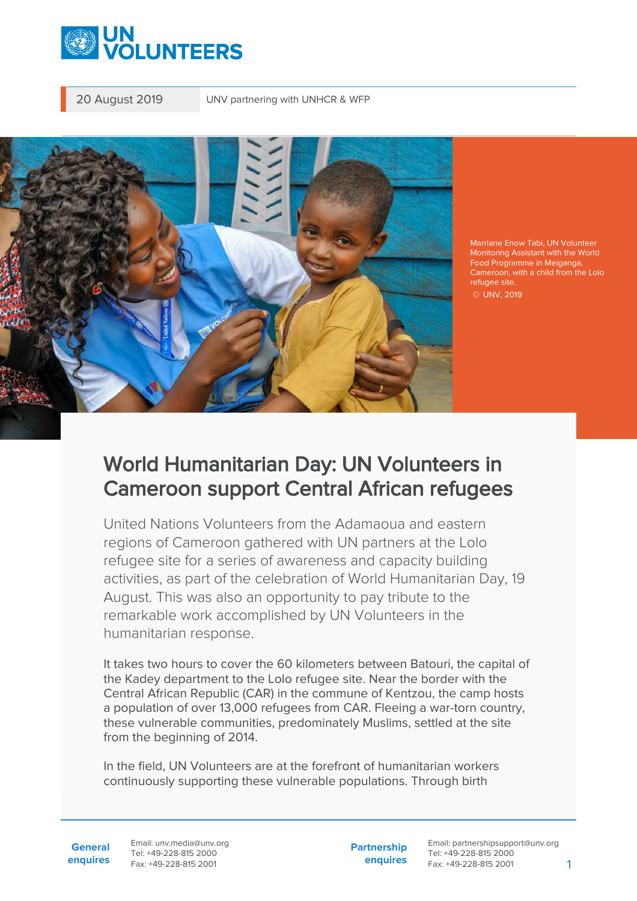

20 August 2019 UNV partnering with UNHCR & WFP



Marriane Enow Tabi, UN Volunteer Monitoring Assistant with the World Food Programme in Meiganga, Cameroon, with a child from the Lolo refugee site. © UNV, 2019

## World Humanitarian Day: UN Volunteers in Cameroon support Central African refugees

United Nations Volunteers from the Adamaoua and eastern regions of Cameroon gathered with UN partners at the Lolo refugee site for a series of awareness and capacity building activities, as part of the celebration of World Humanitarian Day, 19 August. This was also an opportunity to pay tribute to the remarkable work accomplished by UN Volunteers in the humanitarian response.

It takes two hours to cover the 60 kilometers between Batouri, the capital of the Kadey department to the Lolo refugee site. Near the border with the Central African Republic (CAR) in the commune of Kentzou, the camp hosts a population of over 13,000 refugees from CAR. Fleeing a war-torn country, these vulnerable communities, predominately Muslims, settled at the site from the beginning of 2014.

In the field, UN Volunteers are at the forefront of humanitarian workers continuously supporting these vulnerable populations. Through birth

**General enquires** Email: unv.media@unv.org Tel: +49-228-815 2000 Fax: +49-228-815 2001

**Partnership enquires**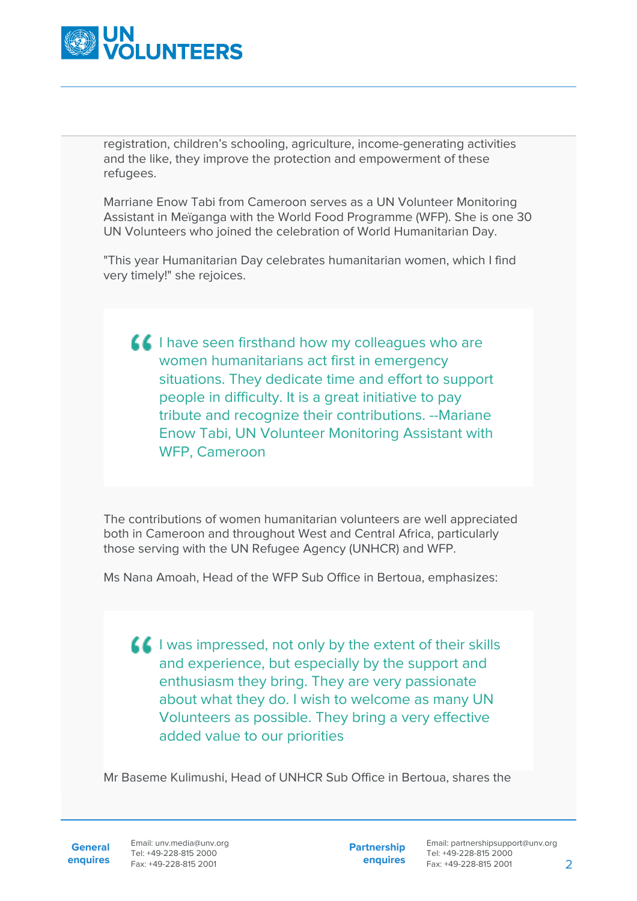

registration, children's schooling, agriculture, income-generating activities and the like, they improve the protection and empowerment of these refugees.

Marriane Enow Tabi from Cameroon serves as a UN Volunteer Monitoring Assistant in Meïganga with the World Food Programme (WFP). She is one 30 UN Volunteers who joined the celebration of World Humanitarian Day.

"This year Humanitarian Day celebrates humanitarian women, which I find very timely!" she rejoices.

I have seen firsthand how my colleagues who are women humanitarians act first in emergency situations. They dedicate time and effort to support people in difficulty. It is a great initiative to pay tribute and recognize their contributions. --Mariane Enow Tabi, UN Volunteer Monitoring Assistant with WFP, Cameroon

The contributions of women humanitarian volunteers are well appreciated both in Cameroon and throughout West and Central Africa, particularly those serving with the UN Refugee Agency (UNHCR) and WFP.

Ms Nana Amoah, Head of the WFP Sub Office in Bertoua, emphasizes:

 $\blacksquare$  I was impressed, not only by the extent of their skills and experience, but especially by the support and enthusiasm they bring. They are very passionate about what they do. I wish to welcome as many UN Volunteers as possible. They bring a very effective added value to our priorities

Mr Baseme Kulimushi, Head of UNHCR Sub Office in Bertoua, shares the

**General**

**enquires** Fax: +49-228-815 2001 Email: unv.media@unv.org Tel: +49-228-815 2000

**Partnership enquires**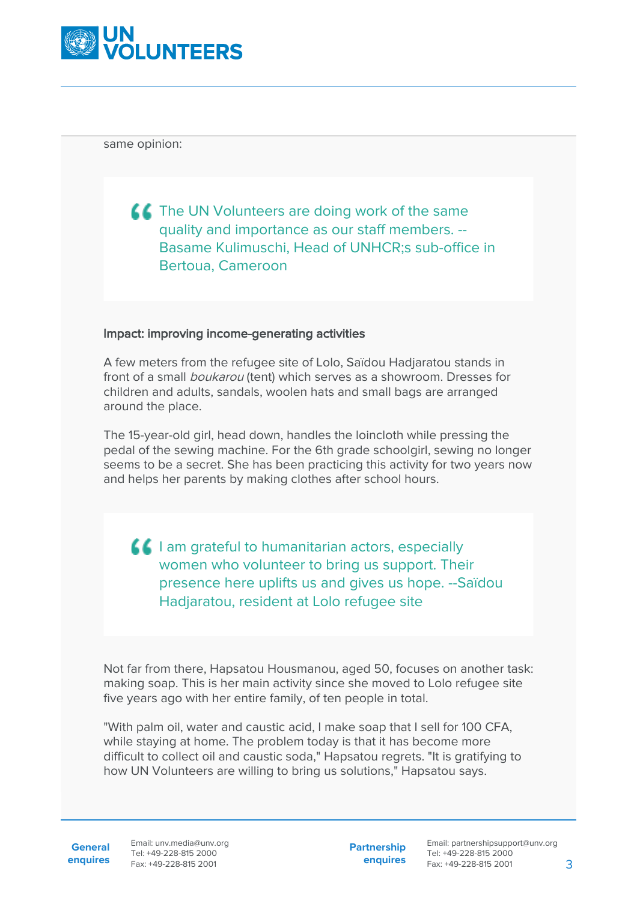

same opinion:

**THE UN Volunteers are doing work of the same** quality and importance as our staff members. -- Basame Kulimuschi, Head of UNHCR;s sub-office in Bertoua, Cameroon

## Impact: improving income-generating activities

A few meters from the refugee site of Lolo, Saïdou Hadjaratou stands in front of a small boukarou (tent) which serves as a showroom. Dresses for children and adults, sandals, woolen hats and small bags are arranged around the place.

The 15-year-old girl, head down, handles the loincloth while pressing the pedal of the sewing machine. For the 6th grade schoolgirl, sewing no longer seems to be a secret. She has been practicing this activity for two years now and helps her parents by making clothes after school hours.

**I** am grateful to humanitarian actors, especially women who volunteer to bring us support. Their presence here uplifts us and gives us hope. --Saïdou Hadjaratou, resident at Lolo refugee site

Not far from there, Hapsatou Housmanou, aged 50, focuses on another task: making soap. This is her main activity since she moved to Lolo refugee site five years ago with her entire family, of ten people in total.

"With palm oil, water and caustic acid, I make soap that I sell for 100 CFA, while staying at home. The problem today is that it has become more difficult to collect oil and caustic soda," Hapsatou regrets. "It is gratifying to how UN Volunteers are willing to bring us solutions," Hapsatou says.

**General**

**enquires** Fax: +49-228-815 2001 Email: unv.media@unv.org Tel: +49-228-815 2000

**Partnership enquires**